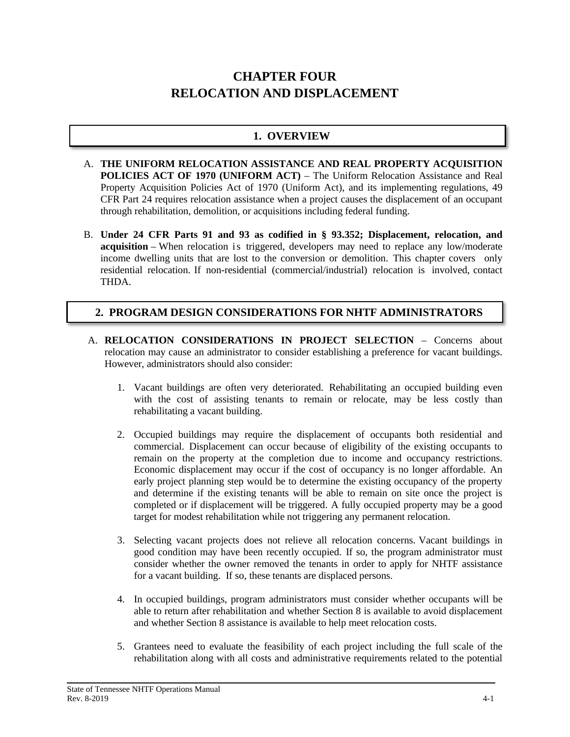# **CHAPTER FOUR RELOCATION AND DISPLACEMENT**

# **1. OVERVIEW**

- A. **THE UNIFORM RELOCATION ASSISTANCE AND REAL PROPERTY ACQUISITION POLICIES ACT OF 1970 (UNIFORM ACT)** – The Uniform Relocation Assistance and Real Property Acquisition Policies Act of 1970 (Uniform Act), and its implementing regulations, 49 CFR Part 24 requires relocation assistance when a project causes the displacement of an occupant through rehabilitation, demolition, or acquisitions including federal funding.
- B. **Under 24 CFR Parts 91 and 93 as codified in § 93.352; Displacement, relocation, and acquisition** – When relocation is triggered, developers may need to replace any low/moderate income dwelling units that are lost to the conversion or demolition. This chapter covers only residential relocation. If non-residential (commercial/industrial) relocation is involved, contact THDA.

# **2. PROGRAM DESIGN CONSIDERATIONS FOR NHTF ADMINISTRATORS**

- A. **RELOCATION CONSIDERATIONS IN PROJECT SELECTION** Concerns about relocation may cause an administrator to consider establishing a preference for vacant buildings. However, administrators should also consider:
	- 1. Vacant buildings are often very deteriorated. Rehabilitating an occupied building even with the cost of assisting tenants to remain or relocate, may be less costly than rehabilitating a vacant building.
	- 2. Occupied buildings may require the displacement of occupants both residential and commercial. Displacement can occur because of eligibility of the existing occupants to remain on the property at the completion due to income and occupancy restrictions. Economic displacement may occur if the cost of occupancy is no longer affordable. An early project planning step would be to determine the existing occupancy of the property and determine if the existing tenants will be able to remain on site once the project is completed or if displacement will be triggered. A fully occupied property may be a good target for modest rehabilitation while not triggering any permanent relocation.
	- 3. Selecting vacant projects does not relieve all relocation concerns. Vacant buildings in good condition may have been recently occupied. If so, the program administrator must consider whether the owner removed the tenants in order to apply for NHTF assistance for a vacant building. If so, these tenants are displaced persons.
	- 4. In occupied buildings, program administrators must consider whether occupants will be able to return after rehabilitation and whether Section 8 is available to avoid displacement and whether Section 8 assistance is available to help meet relocation costs.
	- 5. Grantees need to evaluate the feasibility of each project including the full scale of the rehabilitation along with all costs and administrative requirements related to the potential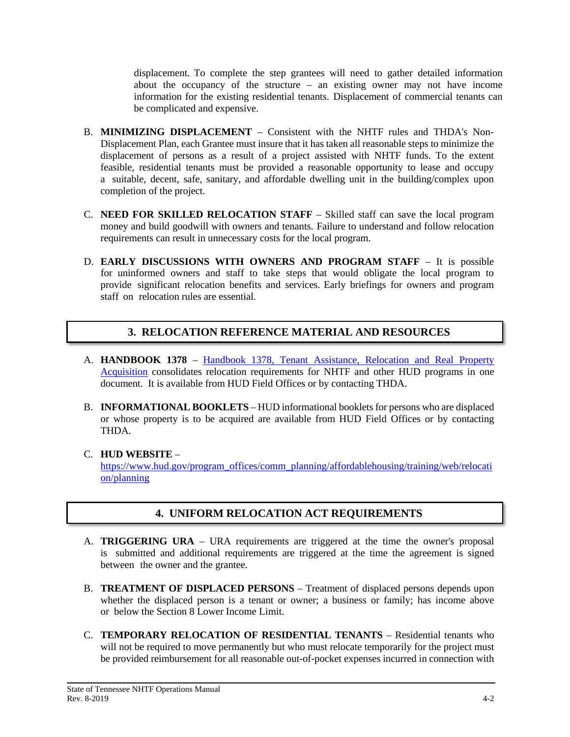displacement. To complete the step grantees will need to gather detailed information about the occupancy of the structure – an existing owner may not have income information for the existing residential tenants. Displacement of commercial tenants can be complicated and expensive.

- B. **MINIMIZING DISPLACEMENT** Consistent with the NHTF rules and THDA's Non-Displacement Plan, each Grantee must insure that it has taken all reasonable steps to minimize the displacement of persons as a result of a project assisted with NHTF funds. To the extent feasible, residential tenants must be provided a reasonable opportunity to lease and occupy a suitable, decent, safe, sanitary, and affordable dwelling unit in the building/complex upon completion of the project.
- C. **NEED FOR SKILLED RELOCATION STAFF** Skilled staff can save the local program money and build goodwill with owners and tenants. Failure to understand and follow relocation requirements can result in unnecessary costs for the local program.
- D. **EARLY DISCUSSIONS WITH OWNERS AND PROGRAM STAFF** It is possible for uninformed owners and staff to take steps that would obligate the local program to provide significant relocation benefits and services. Early briefings for owners and program staff on relocation rules are essential.

# **3. RELOCATION REFERENCE MATERIAL AND RESOURCES**

- A. **HANDBOOK 1378** Handbook 1378, Tenant [Assistance,](https://www.hud.gov/program_offices/administration/hudclips/handbooks/cpd/13780) Relocation and Real Property [Acquisition](https://www.hud.gov/program_offices/administration/hudclips/handbooks/cpd/13780) consolidates relocation requirements for NHTF and other HUD programs in one document. It is available from HUD Field Offices or by contacting THDA.
- B. **INFORMATIONAL BOOKLETS** HUD informational booklets for persons who are displaced or whose property is to be acquired are available from HUD Field Offices or by contacting THDA.

#### C. **HUD WEBSITE** –

[https://www.hud.gov/program\\_offices/comm\\_planning/affordablehousing/training/web/relocati](https://www.hud.gov/program_offices/comm_planning/affordablehousing/training/web/relocation/planning) [on/planning](https://www.hud.gov/program_offices/comm_planning/affordablehousing/training/web/relocation/planning)

# **4. UNIFORM RELOCATION ACT REQUIREMENTS**

- A. **TRIGGERING URA** URA requirements are triggered at the time the owner's proposal is submitted and additional requirements are triggered at the time the agreement is signed between the owner and the grantee.
- B. **TREATMENT OF DISPLACED PERSONS** Treatment of displaced persons depends upon whether the displaced person is a tenant or owner; a business or family; has income above or below the Section 8 Lower Income Limit.
- C. **TEMPORARY RELOCATION OF RESIDENTIAL TENANTS** Residential tenants who will not be required to move permanently but who must relocate temporarily for the project must be provided reimbursement for all reasonable out-of-pocket expenses incurred in connection with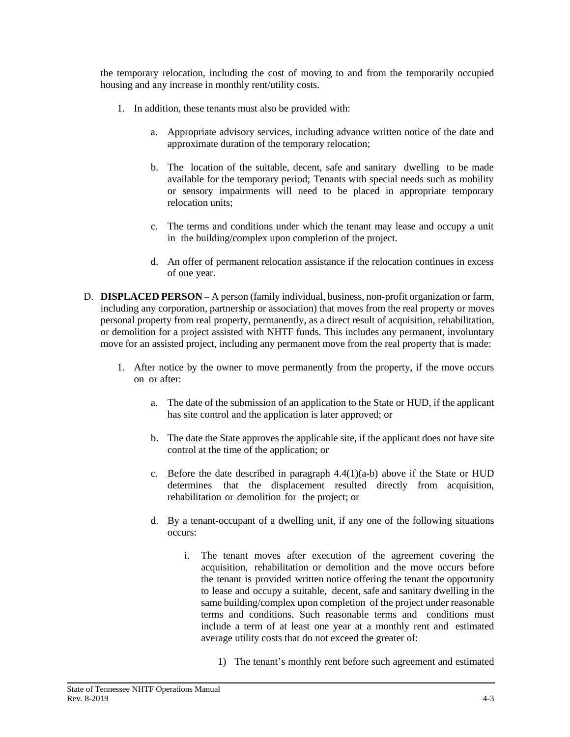the temporary relocation, including the cost of moving to and from the temporarily occupied housing and any increase in monthly rent/utility costs.

- 1. In addition, these tenants must also be provided with:
	- a. Appropriate advisory services, including advance written notice of the date and approximate duration of the temporary relocation;
	- b. The location of the suitable, decent, safe and sanitary dwelling to be made available for the temporary period; Tenants with special needs such as mobility or sensory impairments will need to be placed in appropriate temporary relocation units;
	- c. The terms and conditions under which the tenant may lease and occupy a unit in the building/complex upon completion of the project.
	- d. An offer of permanent relocation assistance if the relocation continues in excess of one year.
- D. **DISPLACED PERSON** A person (family individual, business, non-profit organization or farm, including any corporation, partnership or association) that moves from the real property or moves personal property from real property, permanently, as a direct result of acquisition, rehabilitation, or demolition for a project assisted with NHTF funds. This includes any permanent, involuntary move for an assisted project, including any permanent move from the real property that is made:
	- 1. After notice by the owner to move permanently from the property, if the move occurs on or after:
		- a. The date of the submission of an application to the State or HUD, if the applicant has site control and the application is later approved; or
		- b. The date the State approves the applicable site, if the applicant does not have site control at the time of the application; or
		- c. Before the date described in paragraph  $4.4(1)(a-b)$  above if the State or HUD determines that the displacement resulted directly from acquisition, rehabilitation or demolition for the project; or
		- d. By a tenant-occupant of a dwelling unit, if any one of the following situations occurs:
			- i. The tenant moves after execution of the agreement covering the acquisition, rehabilitation or demolition and the move occurs before the tenant is provided written notice offering the tenant the opportunity to lease and occupy a suitable, decent, safe and sanitary dwelling in the same building/complex upon completion of the project under reasonable terms and conditions. Such reasonable terms and conditions must include a term of at least one year at a monthly rent and estimated average utility costs that do not exceed the greater of:
				- 1) The tenant's monthly rent before such agreement and estimated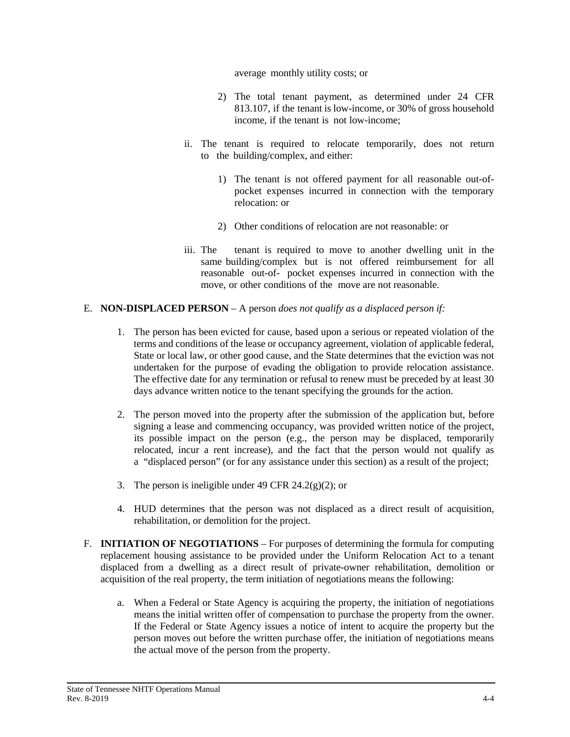average monthly utility costs; or

- 2) The total tenant payment, as determined under 24 CFR 813.107, if the tenant is low-income, or 30% of gross household income, if the tenant is not low-income;
- ii. The tenant is required to relocate temporarily, does not return to the building/complex, and either:
	- 1) The tenant is not offered payment for all reasonable out-ofpocket expenses incurred in connection with the temporary relocation: or
	- 2) Other conditions of relocation are not reasonable: or
- iii. The tenant is required to move to another dwelling unit in the same building/complex but is not offered reimbursement for all reasonable out-of- pocket expenses incurred in connection with the move, or other conditions of the move are not reasonable.

#### E. **NON-DISPLACED PERSON** – A person *does not qualify as a displaced person if:*

- 1. The person has been evicted for cause, based upon a serious or repeated violation of the terms and conditions of the lease or occupancy agreement, violation of applicable federal, State or local law, or other good cause, and the State determines that the eviction was not undertaken for the purpose of evading the obligation to provide relocation assistance. The effective date for any termination or refusal to renew must be preceded by at least 30 days advance written notice to the tenant specifying the grounds for the action.
- 2. The person moved into the property after the submission of the application but, before signing a lease and commencing occupancy, was provided written notice of the project, its possible impact on the person (e.g., the person may be displaced, temporarily relocated, incur a rent increase), and the fact that the person would not qualify as a "displaced person" (or for any assistance under this section) as a result of the project;
- 3. The person is ineligible under 49 CFR 24.2(g)(2); or
- 4. HUD determines that the person was not displaced as a direct result of acquisition, rehabilitation, or demolition for the project.
- F. **INITIATION OF NEGOTIATIONS** For purposes of determining the formula for computing replacement housing assistance to be provided under the Uniform Relocation Act to a tenant displaced from a dwelling as a direct result of private-owner rehabilitation, demolition or acquisition of the real property, the term initiation of negotiations means the following:
	- a. When a Federal or State Agency is acquiring the property, the initiation of negotiations means the initial written offer of compensation to purchase the property from the owner. If the Federal or State Agency issues a notice of intent to acquire the property but the person moves out before the written purchase offer, the initiation of negotiations means the actual move of the person from the property.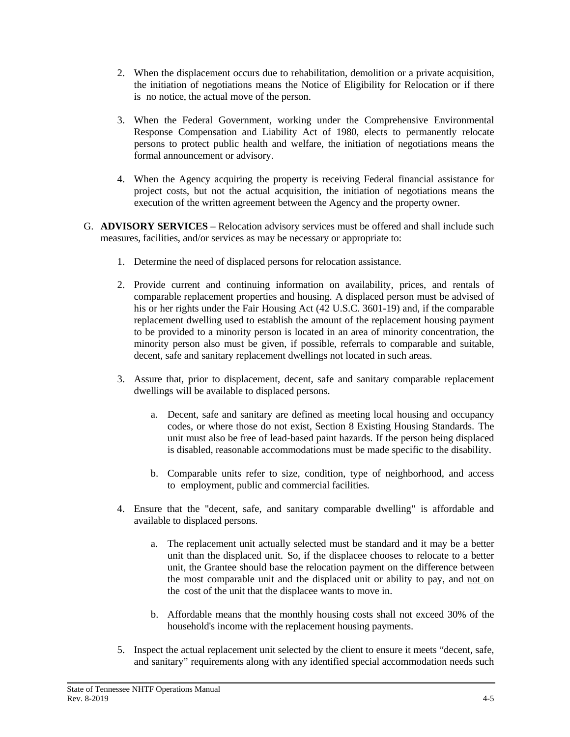- 2. When the displacement occurs due to rehabilitation, demolition or a private acquisition, the initiation of negotiations means the Notice of Eligibility for Relocation or if there is no notice, the actual move of the person.
- 3. When the Federal Government, working under the Comprehensive Environmental Response Compensation and Liability Act of 1980, elects to permanently relocate persons to protect public health and welfare, the initiation of negotiations means the formal announcement or advisory.
- 4. When the Agency acquiring the property is receiving Federal financial assistance for project costs, but not the actual acquisition, the initiation of negotiations means the execution of the written agreement between the Agency and the property owner.
- G. **ADVISORY SERVICES** Relocation advisory services must be offered and shall include such measures, facilities, and/or services as may be necessary or appropriate to:
	- 1. Determine the need of displaced persons for relocation assistance.
	- 2. Provide current and continuing information on availability, prices, and rentals of comparable replacement properties and housing. A displaced person must be advised of his or her rights under the Fair Housing Act (42 U.S.C. 3601-19) and, if the comparable replacement dwelling used to establish the amount of the replacement housing payment to be provided to a minority person is located in an area of minority concentration, the minority person also must be given, if possible, referrals to comparable and suitable, decent, safe and sanitary replacement dwellings not located in such areas.
	- 3. Assure that, prior to displacement, decent, safe and sanitary comparable replacement dwellings will be available to displaced persons.
		- a. Decent, safe and sanitary are defined as meeting local housing and occupancy codes, or where those do not exist, Section 8 Existing Housing Standards. The unit must also be free of lead-based paint hazards. If the person being displaced is disabled, reasonable accommodations must be made specific to the disability.
		- b. Comparable units refer to size, condition, type of neighborhood, and access to employment, public and commercial facilities.
	- 4. Ensure that the "decent, safe, and sanitary comparable dwelling" is affordable and available to displaced persons.
		- a. The replacement unit actually selected must be standard and it may be a better unit than the displaced unit. So, if the displacee chooses to relocate to a better unit, the Grantee should base the relocation payment on the difference between the most comparable unit and the displaced unit or ability to pay, and not on the cost of the unit that the displacee wants to move in.
		- b. Affordable means that the monthly housing costs shall not exceed 30% of the household's income with the replacement housing payments.
	- 5. Inspect the actual replacement unit selected by the client to ensure it meets "decent, safe, and sanitary" requirements along with any identified special accommodation needs such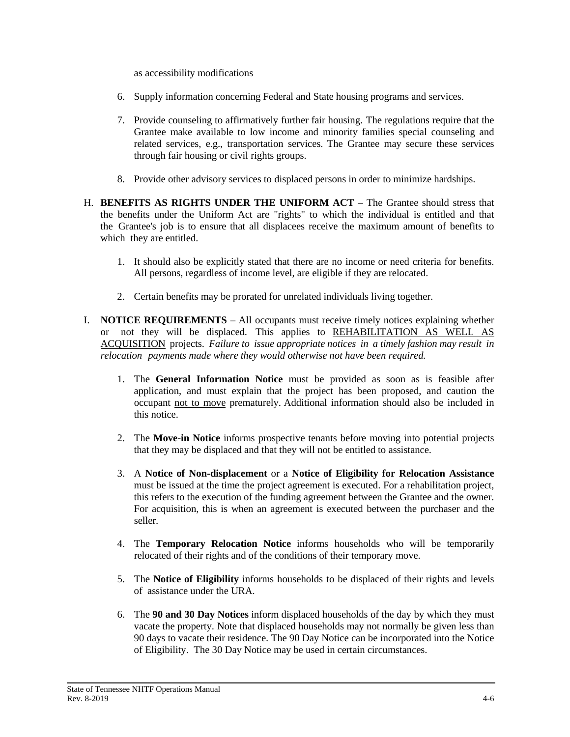as accessibility modifications

- 6. Supply information concerning Federal and State housing programs and services.
- 7. Provide counseling to affirmatively further fair housing. The regulations require that the Grantee make available to low income and minority families special counseling and related services, e.g., transportation services. The Grantee may secure these services through fair housing or civil rights groups.
- 8. Provide other advisory services to displaced persons in order to minimize hardships.
- H. **BENEFITS AS RIGHTS UNDER THE UNIFORM ACT** The Grantee should stress that the benefits under the Uniform Act are "rights" to which the individual is entitled and that the Grantee's job is to ensure that all displacees receive the maximum amount of benefits to which they are entitled.
	- 1. It should also be explicitly stated that there are no income or need criteria for benefits. All persons, regardless of income level, are eligible if they are relocated.
	- 2. Certain benefits may be prorated for unrelated individuals living together.
- I. **NOTICE REQUIREMENTS** All occupants must receive timely notices explaining whether or not they will be displaced. This applies to REHABILITATION AS WELL AS ACQUISITION projects. *Failure to issue appropriate notices in a timely fashion may result in relocation payments made where they would otherwise not have been required.*
	- 1. The **General Information Notice** must be provided as soon as is feasible after application, and must explain that the project has been proposed, and caution the occupant not to move prematurely. Additional information should also be included in this notice.
	- 2. The **Move-in Notice** informs prospective tenants before moving into potential projects that they may be displaced and that they will not be entitled to assistance.
	- 3. A **Notice of Non-displacement** or a **Notice of Eligibility for Relocation Assistance** must be issued at the time the project agreement is executed. For a rehabilitation project, this refers to the execution of the funding agreement between the Grantee and the owner. For acquisition, this is when an agreement is executed between the purchaser and the seller.
	- 4. The **Temporary Relocation Notice** informs households who will be temporarily relocated of their rights and of the conditions of their temporary move.
	- 5. The **Notice of Eligibility** informs households to be displaced of their rights and levels of assistance under the URA.
	- 6. The **90 and 30 Day Notices** inform displaced households of the day by which they must vacate the property. Note that displaced households may not normally be given less than 90 days to vacate their residence. The 90 Day Notice can be incorporated into the Notice of Eligibility. The 30 Day Notice may be used in certain circumstances.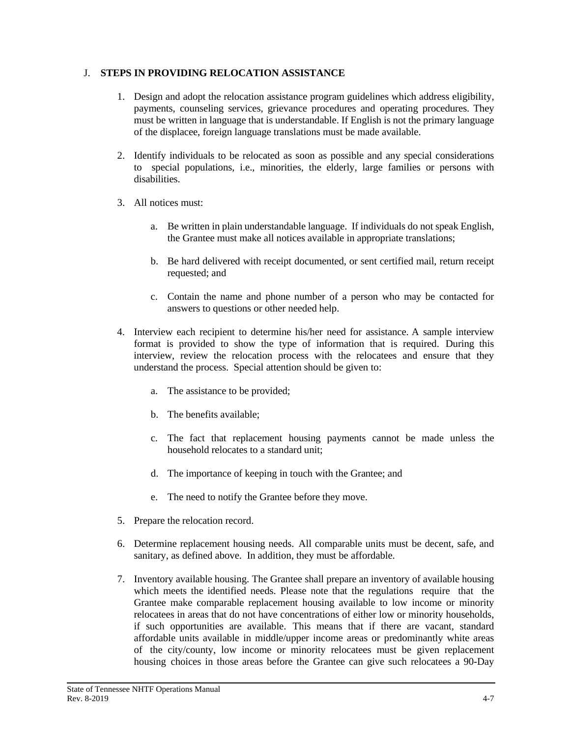#### J. **STEPS IN PROVIDING RELOCATION ASSISTANCE**

- 1. Design and adopt the relocation assistance program guidelines which address eligibility, payments, counseling services, grievance procedures and operating procedures. They must be written in language that is understandable. If English is not the primary language of the displacee, foreign language translations must be made available.
- 2. Identify individuals to be relocated as soon as possible and any special considerations to special populations, i.e., minorities, the elderly, large families or persons with disabilities.
- 3. All notices must:
	- a. Be written in plain understandable language. If individuals do not speak English, the Grantee must make all notices available in appropriate translations;
	- b. Be hard delivered with receipt documented, or sent certified mail, return receipt requested; and
	- c. Contain the name and phone number of a person who may be contacted for answers to questions or other needed help.
- 4. Interview each recipient to determine his/her need for assistance. A sample interview format is provided to show the type of information that is required. During this interview, review the relocation process with the relocatees and ensure that they understand the process. Special attention should be given to:
	- a. The assistance to be provided;
	- b. The benefits available;
	- c. The fact that replacement housing payments cannot be made unless the household relocates to a standard unit;
	- d. The importance of keeping in touch with the Grantee; and
	- e. The need to notify the Grantee before they move.
- 5. Prepare the relocation record.
- 6. Determine replacement housing needs. All comparable units must be decent, safe, and sanitary, as defined above. In addition, they must be affordable.
- 7. Inventory available housing. The Grantee shall prepare an inventory of available housing which meets the identified needs. Please note that the regulations require that the Grantee make comparable replacement housing available to low income or minority relocatees in areas that do not have concentrations of either low or minority households, if such opportunities are available. This means that if there are vacant, standard affordable units available in middle/upper income areas or predominantly white areas of the city/county, low income or minority relocatees must be given replacement housing choices in those areas before the Grantee can give such relocatees a 90-Day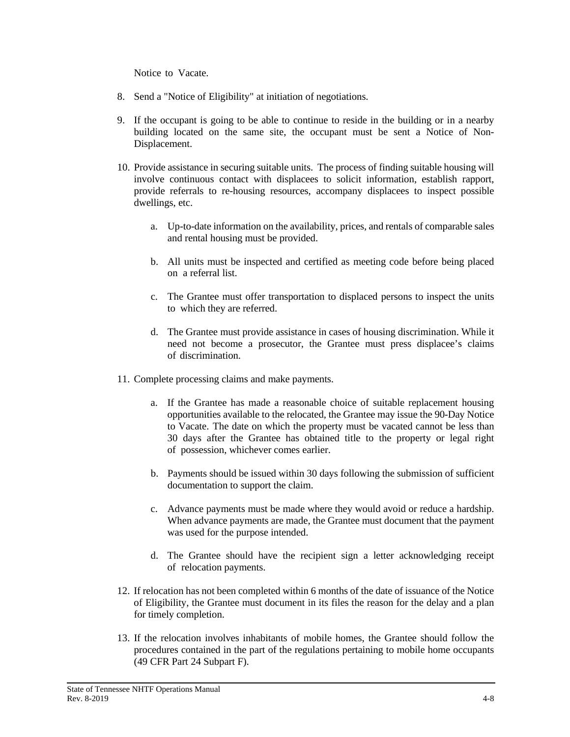Notice to Vacate.

- 8. Send a "Notice of Eligibility" at initiation of negotiations.
- 9. If the occupant is going to be able to continue to reside in the building or in a nearby building located on the same site, the occupant must be sent a Notice of Non-Displacement.
- 10. Provide assistance in securing suitable units. The process of finding suitable housing will involve continuous contact with displacees to solicit information, establish rapport, provide referrals to re-housing resources, accompany displacees to inspect possible dwellings, etc.
	- a. Up-to-date information on the availability, prices, and rentals of comparable sales and rental housing must be provided.
	- b. All units must be inspected and certified as meeting code before being placed on a referral list.
	- c. The Grantee must offer transportation to displaced persons to inspect the units to which they are referred.
	- d. The Grantee must provide assistance in cases of housing discrimination. While it need not become a prosecutor, the Grantee must press displacee's claims of discrimination.
- 11. Complete processing claims and make payments.
	- a. If the Grantee has made a reasonable choice of suitable replacement housing opportunities available to the relocated, the Grantee may issue the 90-Day Notice to Vacate. The date on which the property must be vacated cannot be less than 30 days after the Grantee has obtained title to the property or legal right of possession, whichever comes earlier.
	- b. Payments should be issued within 30 days following the submission of sufficient documentation to support the claim.
	- c. Advance payments must be made where they would avoid or reduce a hardship. When advance payments are made, the Grantee must document that the payment was used for the purpose intended.
	- d. The Grantee should have the recipient sign a letter acknowledging receipt of relocation payments.
- 12. If relocation has not been completed within 6 months of the date of issuance of the Notice of Eligibility, the Grantee must document in its files the reason for the delay and a plan for timely completion.
- 13. If the relocation involves inhabitants of mobile homes, the Grantee should follow the procedures contained in the part of the regulations pertaining to mobile home occupants (49 CFR Part 24 Subpart F).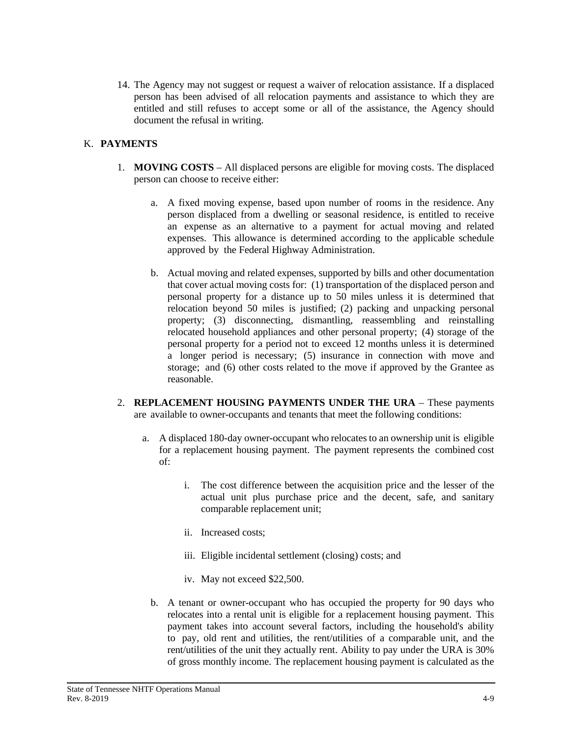14. The Agency may not suggest or request a waiver of relocation assistance. If a displaced person has been advised of all relocation payments and assistance to which they are entitled and still refuses to accept some or all of the assistance, the Agency should document the refusal in writing.

### K. **PAYMENTS**

- 1. **MOVING COSTS** All displaced persons are eligible for moving costs. The displaced person can choose to receive either:
	- a. A fixed moving expense, based upon number of rooms in the residence. Any person displaced from a dwelling or seasonal residence, is entitled to receive an expense as an alternative to a payment for actual moving and related expenses. This allowance is determined according to the applicable schedule approved by the Federal Highway Administration.
	- b. Actual moving and related expenses, supported by bills and other documentation that cover actual moving costs for: (1) transportation of the displaced person and personal property for a distance up to 50 miles unless it is determined that relocation beyond 50 miles is justified; (2) packing and unpacking personal property; (3) disconnecting, dismantling, reassembling and reinstalling relocated household appliances and other personal property; (4) storage of the personal property for a period not to exceed 12 months unless it is determined a longer period is necessary; (5) insurance in connection with move and storage; and (6) other costs related to the move if approved by the Grantee as reasonable.
- 2. **REPLACEMENT HOUSING PAYMENTS UNDER THE URA** These payments are available to owner-occupants and tenants that meet the following conditions:
	- a. A displaced 180-day owner-occupant who relocatesto an ownership unit is eligible for a replacement housing payment. The payment represents the combined cost of:
		- i. The cost difference between the acquisition price and the lesser of the actual unit plus purchase price and the decent, safe, and sanitary comparable replacement unit;
		- ii. Increased costs;
		- iii. Eligible incidental settlement (closing) costs; and
		- iv. May not exceed \$22,500.
		- b. A tenant or owner-occupant who has occupied the property for 90 days who relocates into a rental unit is eligible for a replacement housing payment. This payment takes into account several factors, including the household's ability to pay, old rent and utilities, the rent/utilities of a comparable unit, and the rent/utilities of the unit they actually rent. Ability to pay under the URA is 30% of gross monthly income. The replacement housing payment is calculated as the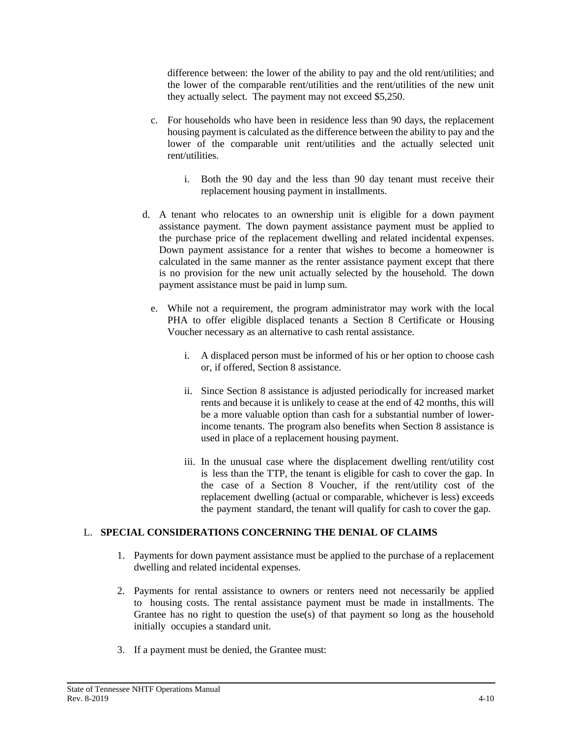difference between: the lower of the ability to pay and the old rent/utilities; and the lower of the comparable rent/utilities and the rent/utilities of the new unit they actually select. The payment may not exceed \$5,250.

- c. For households who have been in residence less than 90 days, the replacement housing payment is calculated as the difference between the ability to pay and the lower of the comparable unit rent/utilities and the actually selected unit rent/utilities.
	- i. Both the 90 day and the less than 90 day tenant must receive their replacement housing payment in installments.
- d. A tenant who relocates to an ownership unit is eligible for a down payment assistance payment. The down payment assistance payment must be applied to the purchase price of the replacement dwelling and related incidental expenses. Down payment assistance for a renter that wishes to become a homeowner is calculated in the same manner as the renter assistance payment except that there is no provision for the new unit actually selected by the household. The down payment assistance must be paid in lump sum.
	- e. While not a requirement, the program administrator may work with the local PHA to offer eligible displaced tenants a Section 8 Certificate or Housing Voucher necessary as an alternative to cash rental assistance.
		- i. A displaced person must be informed of his or her option to choose cash or, if offered, Section 8 assistance.
		- ii. Since Section 8 assistance is adjusted periodically for increased market rents and because it is unlikely to cease at the end of 42 months, this will be a more valuable option than cash for a substantial number of lowerincome tenants. The program also benefits when Section 8 assistance is used in place of a replacement housing payment.
		- iii. In the unusual case where the displacement dwelling rent/utility cost is less than the TTP, the tenant is eligible for cash to cover the gap. In the case of a Section 8 Voucher, if the rent/utility cost of the replacement dwelling (actual or comparable, whichever is less) exceeds the payment standard, the tenant will qualify for cash to cover the gap.

#### L. **SPECIAL CONSIDERATIONS CONCERNING THE DENIAL OF CLAIMS**

- 1. Payments for down payment assistance must be applied to the purchase of a replacement dwelling and related incidental expenses.
- 2. Payments for rental assistance to owners or renters need not necessarily be applied to housing costs. The rental assistance payment must be made in installments. The Grantee has no right to question the use(s) of that payment so long as the household initially occupies a standard unit.
- 3. If a payment must be denied, the Grantee must: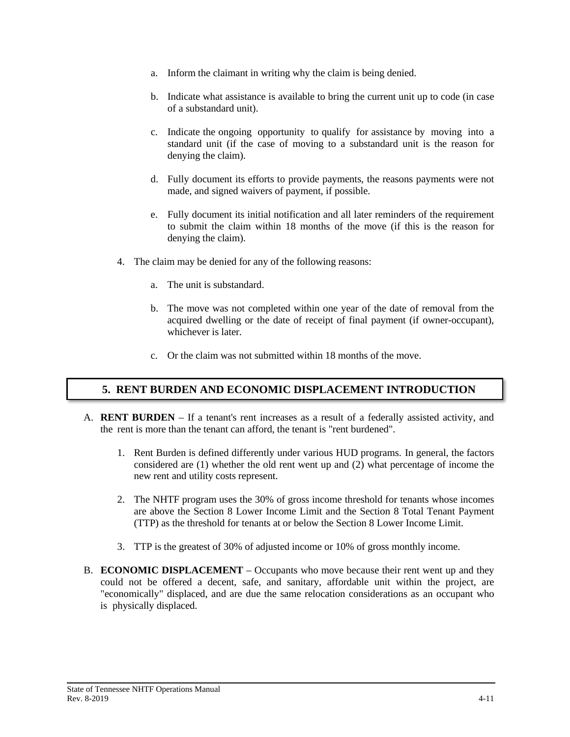- a. Inform the claimant in writing why the claim is being denied.
- b. Indicate what assistance is available to bring the current unit up to code (in case of a substandard unit).
- c. Indicate the ongoing opportunity to qualify for assistance by moving into a standard unit (if the case of moving to a substandard unit is the reason for denying the claim).
- d. Fully document its efforts to provide payments, the reasons payments were not made, and signed waivers of payment, if possible.
- e. Fully document its initial notification and all later reminders of the requirement to submit the claim within 18 months of the move (if this is the reason for denying the claim).
- 4. The claim may be denied for any of the following reasons:
	- a. The unit is substandard.
	- b. The move was not completed within one year of the date of removal from the acquired dwelling or the date of receipt of final payment (if owner-occupant), whichever is later.
	- c. Or the claim was not submitted within 18 months of the move.

# **5. RENT BURDEN AND ECONOMIC DISPLACEMENT INTRODUCTION**

- A. **RENT BURDEN** If a tenant's rent increases as a result of a federally assisted activity, and the rent is more than the tenant can afford, the tenant is "rent burdened".
	- 1. Rent Burden is defined differently under various HUD programs. In general, the factors considered are (1) whether the old rent went up and (2) what percentage of income the new rent and utility costs represent.
	- 2. The NHTF program uses the 30% of gross income threshold for tenants whose incomes are above the Section 8 Lower Income Limit and the Section 8 Total Tenant Payment (TTP) as the threshold for tenants at or below the Section 8 Lower Income Limit.
	- 3. TTP is the greatest of 30% of adjusted income or 10% of gross monthly income.
- B. **ECONOMIC DISPLACEMENT** Occupants who move because their rent went up and they could not be offered a decent, safe, and sanitary, affordable unit within the project, are "economically" displaced, and are due the same relocation considerations as an occupant who is physically displaced.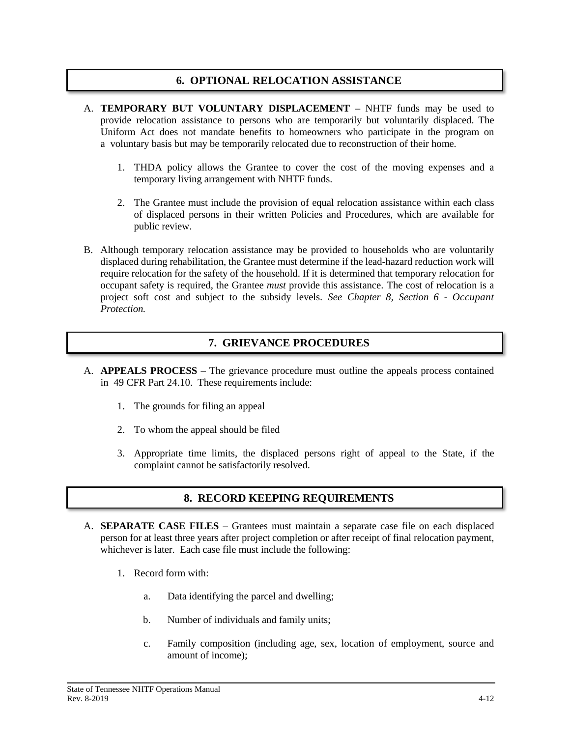### **6. OPTIONAL RELOCATION ASSISTANCE**

- A. **TEMPORARY BUT VOLUNTARY DISPLACEMENT** NHTF funds may be used to provide relocation assistance to persons who are temporarily but voluntarily displaced. The Uniform Act does not mandate benefits to homeowners who participate in the program on a voluntary basis but may be temporarily relocated due to reconstruction of their home.
	- 1. THDA policy allows the Grantee to cover the cost of the moving expenses and a temporary living arrangement with NHTF funds.
	- 2. The Grantee must include the provision of equal relocation assistance within each class of displaced persons in their written Policies and Procedures, which are available for public review.
- B. Although temporary relocation assistance may be provided to households who are voluntarily displaced during rehabilitation, the Grantee must determine if the lead-hazard reduction work will require relocation for the safety of the household. If it is determined that temporary relocation for occupant safety is required, the Grantee *must* provide this assistance. The cost of relocation is a project soft cost and subject to the subsidy levels. *See Chapter 8, Section 6 - Occupant Protection.*

# **7. GRIEVANCE PROCEDURES**

- A. **APPEALS PROCESS** The grievance procedure must outline the appeals process contained in 49 CFR Part 24.10. These requirements include:
	- 1. The grounds for filing an appeal
	- 2. To whom the appeal should be filed
	- 3. Appropriate time limits, the displaced persons right of appeal to the State, if the complaint cannot be satisfactorily resolved.

# **8. RECORD KEEPING REQUIREMENTS**

- A. **SEPARATE CASE FILES** Grantees must maintain a separate case file on each displaced person for at least three years after project completion or after receipt of final relocation payment, whichever is later. Each case file must include the following:
	- 1. Record form with:
		- a. Data identifying the parcel and dwelling;
		- b. Number of individuals and family units;
		- c. Family composition (including age, sex, location of employment, source and amount of income);